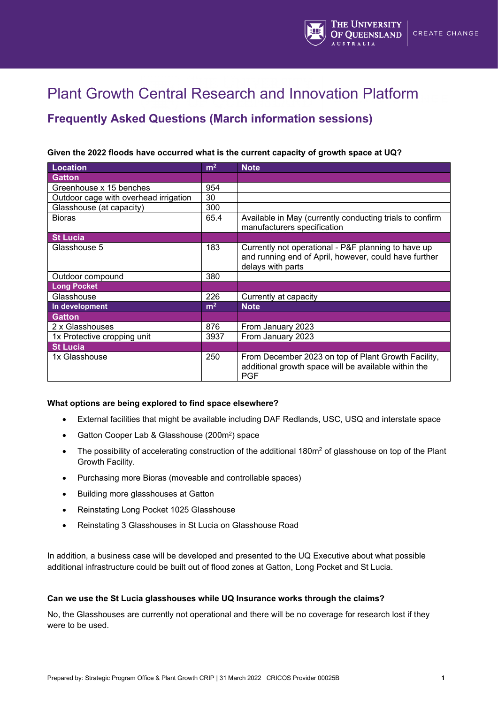

# Plant Growth Central Research and Innovation Platform

# **Frequently Asked Questions (March information sessions)**

# **Given the 2022 floods have occurred what is the current capacity of growth space at UQ?**

| <b>Location</b>                       | m <sup>2</sup> | <b>Note</b>                                                                                                                       |
|---------------------------------------|----------------|-----------------------------------------------------------------------------------------------------------------------------------|
| <b>Gatton</b>                         |                |                                                                                                                                   |
| Greenhouse x 15 benches               | 954            |                                                                                                                                   |
| Outdoor cage with overhead irrigation | 30             |                                                                                                                                   |
| Glasshouse (at capacity)              | 300            |                                                                                                                                   |
| <b>Bioras</b>                         | 65.4           | Available in May (currently conducting trials to confirm<br>manufacturers specification                                           |
| <b>St Lucia</b>                       |                |                                                                                                                                   |
| Glasshouse 5                          | 183            | Currently not operational - P&F planning to have up<br>and running end of April, however, could have further<br>delays with parts |
| Outdoor compound                      | 380            |                                                                                                                                   |
| <b>Long Pocket</b>                    |                |                                                                                                                                   |
| Glasshouse                            | 226            | Currently at capacity                                                                                                             |
| In development                        | m <sup>2</sup> | <b>Note</b>                                                                                                                       |
| <b>Gatton</b>                         |                |                                                                                                                                   |
| 2 x Glasshouses                       | 876            | From January 2023                                                                                                                 |
| 1x Protective cropping unit           | 3937           | From January 2023                                                                                                                 |
| <b>St Lucia</b>                       |                |                                                                                                                                   |
| 1x Glasshouse                         | 250            | From December 2023 on top of Plant Growth Facility,<br>additional growth space will be available within the<br><b>PGF</b>         |

## **What options are being explored to find space elsewhere?**

- External facilities that might be available including DAF Redlands, USC, USQ and interstate space
- Gatton Cooper Lab & Glasshouse (200m2) space
- The possibility of accelerating construction of the additional 180m<sup>2</sup> of glasshouse on top of the Plant Growth Facility.
- Purchasing more Bioras (moveable and controllable spaces)
- Building more glasshouses at Gatton
- Reinstating Long Pocket 1025 Glasshouse
- Reinstating 3 Glasshouses in St Lucia on Glasshouse Road

In addition, a business case will be developed and presented to the UQ Executive about what possible additional infrastructure could be built out of flood zones at Gatton, Long Pocket and St Lucia.

## **Can we use the St Lucia glasshouses while UQ Insurance works through the claims?**

No, the Glasshouses are currently not operational and there will be no coverage for research lost if they were to be used.